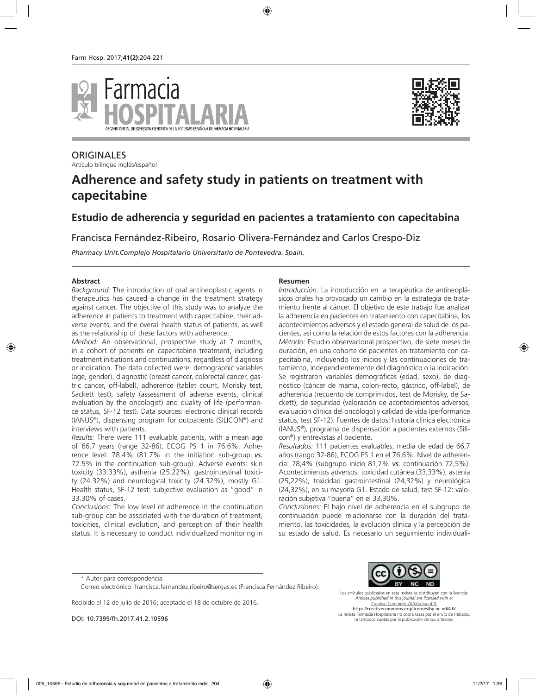



# **ORIGINALES**

Artículo bilingüe inglés/español

# **Adherence and safety study in patients on treatment with capecitabine**

# **Estudio de adherencia y seguridad en pacientes a tratamiento con capecitabina**

Francisca Fernández-Ribeiro, Rosario Olivera-Fernández and Carlos Crespo-Diz

*Pharmacy Unit.Complejo Hospitalario Universitario de Pontevedra. Spain.*

#### **Abstract**

*Background:* The introduction of oral antineoplastic agents in therapeutics has caused a change in the treatment strategy against cancer. The objective of this study was to analyze the adherence in patients to treatment with capecitabine, their adverse events, and the overall health status of patients, as well as the relationship of these factors with adherence.

*Method:* An observational, prospective study at 7 months, in a cohort of patients on capecitabine treatment, including treatment initiations and continuations, regardless of diagnosis or indication. The data collected were: demographic variables (age, gender), diagnostic (breast cancer, colorectal cancer, gastric cancer, off-label), adherence (tablet count, Morisky test, Sackett test), safety (assessment of adverse events, clinical evaluation by the oncologist) and quality of life (performance status, SF-12 test). Data sources: electronic clinical records (IANUS®), dispensing program for outpatients (SILICON®) and interviews with patients.

*Results:* There were 111 evaluable patients, with a mean age of 66.7 years (range 32-86), ECOG PS 1 in 76.6%. Adherence level: 78.4% (81.7% in the initiation sub-group *vs.* 72.5% in the continuation sub-group). Adverse events: skin toxicity (33.33%), asthenia (25.22%), gastrointestinal toxicity (24.32%) and neurological toxicity (24.32%), mostly G1. Health status, SF-12 test: subjective evaluation as "good" in 33.30% of cases.

*Conclusions:* The low level of adherence in the continuation sub-group can be associated with the duration of treatment, toxicities, clinical evolution, and perception of their health status. It is necessary to conduct individualized monitoring in

#### **Resumen**

*Introducción:* La introducción en la terapéutica de antineoplásicos orales ha provocado un cambio en la estrategia de tratamiento frente al cáncer. El objetivo de este trabajo fue analizar la adherencia en pacientes en tratamiento con capecitabina, los acontecimientos adversos y el estado general de salud de los pacientes, así como la relación de estos factores con la adherencia. *Método:* Estudio observacional prospectivo, de siete meses de duración, en una cohorte de pacientes en tratamiento con capecitabina, incluyendo los inicios y las continuaciones de tratamiento, independientemente del diagnóstico o la indicación. Se registraron variables demográficas (edad, sexo), de diagnóstico (cáncer de mama, colon-recto, gástrico, off-label), de adherencia (recuento de comprimidos, test de Morisky, de Sackett), de seguridad (valoración de acontecimientos adversos, evaluación clínica del oncólogo) y calidad de vida (performance status, test SF-12). Fuentes de datos: historia clínica electrónica (IANUS®), programa de dispensación a pacientes externos (Silicon®) y entrevistas al paciente.

*Resultados:* 111 pacientes evaluables, media de edad de 66,7 años (rango 32-86), ECOG PS 1 en el 76,6%. Nivel de adherencia: 78,4% (subgrupo inicio 81,7% *vs.* continuación 72,5%). Acontecimientos adversos: toxicidad cutánea (33,33%), astenia (25,22%), toxicidad gastrointestinal (24,32%) y neurológica (24,32%), en su mayoría G1. Estado de salud, test SF-12: valoración subjetiva "buena" en el 33,30%.

*Conclusiones:* El bajo nivel de adherencia en el subgrupo de continuación puede relacionarse con la duración del tratamiento, las toxicidades, la evolución clínica y la percepción de su estado de salud. Es necesario un seguimiento individuali-

Recibido el 12 de julio de 2016; aceptado el 18 de octubre de 2016.

DOI: 10.7399/fh.2017.41.2.10596



Los artículos publicados en esta revista se distribuyen con la licencia: *Articles published in this journal are licensed with a: Creative Commons Attribution 4.0.* https://creativecommons.org/licenses/by-nc-nd/4.0/ La revista Farmacia Hospitalaria no cobra tasas por el envío de trabajos, ni tampoco cuotas por la publicación de sus artículos.

<sup>\*</sup> Autor para correspondencia.

Correo electrónico: francisca.fernandez.ribeiro@sergas.es (Francisca Fernández Ribeiro).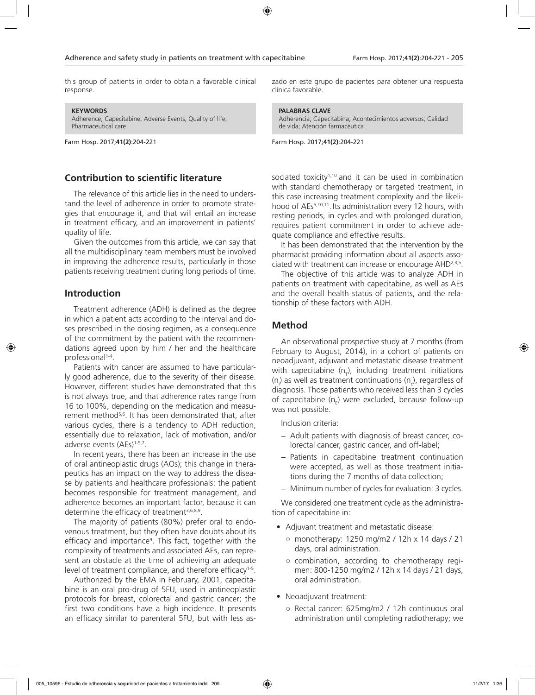this group of patients in order to obtain a favorable clinical response.

**KEYWORDS**

Adherence, Capecitabine, Adverse Events, Quality of life, Pharmaceutical care

Farm Hosp. 2017;**41(2)**:204-221

# **Contribution to scientific literature**

The relevance of this article lies in the need to understand the level of adherence in order to promote strategies that encourage it, and that will entail an increase in treatment efficacy, and an improvement in patients' quality of life.

Given the outcomes from this article, we can say that all the multidisciplinary team members must be involved in improving the adherence results, particularly in those patients receiving treatment during long periods of time.

# **Introduction**

Treatment adherence (ADH) is defined as the degree in which a patient acts according to the interval and doses prescribed in the dosing regimen, as a consequence of the commitment by the patient with the recommendations agreed upon by him / her and the healthcare professional<sup>1-4</sup>.

Patients with cancer are assumed to have particularly good adherence, due to the severity of their disease. However, different studies have demonstrated that this is not always true, and that adherence rates range from 16 to 100%, depending on the medication and measurement method<sup>5,6</sup>. It has been demonstrated that, after various cycles, there is a tendency to ADH reduction, essentially due to relaxation, lack of motivation, and/or adverse events (AEs)<sup>1-5,7</sup>.

In recent years, there has been an increase in the use of oral antineoplastic drugs (AOs); this change in therapeutics has an impact on the way to address the disease by patients and healthcare professionals: the patient becomes responsible for treatment management, and adherence becomes an important factor, because it can determine the efficacy of treatment<sup>3,6,8,9</sup>.

The majority of patients (80%) prefer oral to endovenous treatment, but they often have doubts about its efficacy and importance<sup>9</sup>. This fact, together with the complexity of treatments and associated AEs, can represent an obstacle at the time of achieving an adequate level of treatment compliance, and therefore efficacy<sup>1-5</sup>.

Authorized by the EMA in February, 2001, capecitabine is an oral pro-drug of 5FU, used in antineoplastic protocols for breast, colorectal and gastric cancer; the first two conditions have a high incidence. It presents an efficacy similar to parenteral 5FU, but with less aszado en este grupo de pacientes para obtener una respuesta clínica favorable.

**PALABRAS CLAVE** Adherencia; Capecitabina; Acontecimientos adversos; Calidad

de vida; Atención farmacéutica

Farm Hosp. 2017;**41(2)**:204-221

sociated toxicity<sup>1,10</sup> and it can be used in combination with standard chemotherapy or targeted treatment, in this case increasing treatment complexity and the likelihood of AEs5,10,11. Its administration every 12 hours, with resting periods, in cycles and with prolonged duration, requires patient commitment in order to achieve adequate compliance and effective results.

It has been demonstrated that the intervention by the pharmacist providing information about all aspects associated with treatment can increase or encourage AHD2,3,5.

The objective of this article was to analyze ADH in patients on treatment with capecitabine, as well as AEs and the overall health status of patients, and the relationship of these factors with ADH.

# **Method**

An observational prospective study at 7 months (from February to August, 2014), in a cohort of patients on neoadjuvant, adjuvant and metastatic disease treatment with capecitabine  $(n<sub>T</sub>)$ , including treatment initiations (n<sub>i</sub>) as well as treatment continuations (n<sub>c</sub>), regardless of diagnosis. Those patients who received less than 3 cycles of capecitabine (n<sub>E</sub>) were excluded, because follow-up was not possible.

Inclusion criteria:

- − Adult patients with diagnosis of breast cancer, colorectal cancer, gastric cancer, and off-label;
- − Patients in capecitabine treatment continuation were accepted, as well as those treatment initiations during the 7 months of data collection;
- − Minimum number of cycles for evaluation: 3 cycles.

We considered one treatment cycle as the administration of capecitabine in:

- Adjuvant treatment and metastatic disease:
	- monotherapy: 1250 mg/m2 / 12h x 14 days / 21 days, oral administration.
	- combination, according to chemotherapy regimen: 800-1250 mg/m2 / 12h x 14 days / 21 days, oral administration.
- Neoadjuvant treatment:
	- Rectal cancer: 625mg/m2 / 12h continuous oral administration until completing radiotherapy; we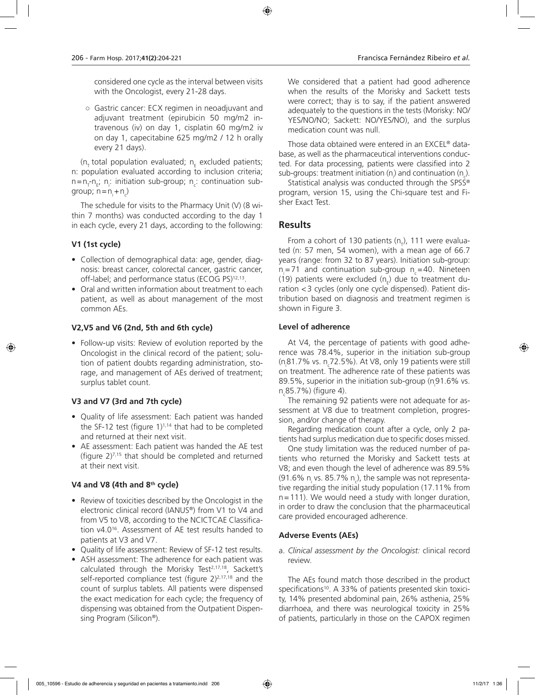considered one cycle as the interval between visits with the Oncologist, every 21-28 days.

○ Gastric cancer: ECX regimen in neoadjuvant and adjuvant treatment (epirubicin 50 mg/m2 intravenous (iv) on day 1, cisplatin 60 mg/m2 iv on day 1, capecitabine 625 mg/m2 / 12 h orally every 21 days).

( $n_{\text{t}}$  total population evaluated;  $n_{\text{e}}$  excluded patients; n: population evaluated according to inclusion criteria;  $n=n_{\overline{1}}$ n<sub>i</sub>: initiation sub-group; n<sub>c</sub>: continuation subgroup;  $n = n + n_c$ 

The schedule for visits to the Pharmacy Unit (V) (8 within 7 months) was conducted according to the day 1 in each cycle, every 21 days, according to the following:

# **V1 (1st cycle)**

- Collection of demographical data: age, gender, diagnosis: breast cancer, colorectal cancer, gastric cancer, off-label; and performance status (ECOG PS)<sup>12,13</sup>.
- Oral and written information about treatment to each patient, as well as about management of the most common AEs.

# **V2,V5 and V6 (2nd, 5th and 6th cycle)**

• Follow-up visits: Review of evolution reported by the Oncologist in the clinical record of the patient; solution of patient doubts regarding administration, storage, and management of AEs derived of treatment; surplus tablet count.

# **V3 and V7 (3rd and 7th cycle)**

- Quality of life assessment: Each patient was handed the SF-12 test (figure  $1)^{1,14}$  that had to be completed and returned at their next visit.
- AE assessment: Each patient was handed the AE test (figure 2)7,15 that should be completed and returned at their next visit.

# **V4 and V8 (4th and 8th cycle)**

- Review of toxicities described by the Oncologist in the electronic clinical record (IANUS®) from V1 to V4 and from V5 to V8, according to the NCICTCAE Classification v4.016. Assessment of AE test results handed to patients at V3 and V7.
- Quality of life assessment: Review of SF-12 test results.
- ASH assessment: The adherence for each patient was calculated through the Morisky Test<sup>2,17,18</sup>, Sackett's self-reported compliance test (figure 2)<sup>2,17,18</sup> and the count of surplus tablets. All patients were dispensed the exact medication for each cycle; the frequency of dispensing was obtained from the Outpatient Dispensing Program (Silicon®).

We considered that a patient had good adherence when the results of the Morisky and Sackett tests were correct; thay is to say, if the patient answered adequately to the questions in the tests (Morisky: NO/ YES/NO/NO; Sackett: NO/YES/NO), and the surplus medication count was null.

Those data obtained were entered in an EXCEL® database, as well as the pharmaceutical interventions conducted. For data processing, patients were classified into 2 sub-groups: treatment initiation (n) and continuation (n).

Statistical analysis was conducted through the SPSS® program, version 15, using the Chi-square test and Fisher Exact Test.

# **Results**

From a cohort of 130 patients (n<sub><sub>r</sub>), 111 were evalua-</sub> ted (n: 57 men, 54 women), with a mean age of 66.7 years (range: from 32 to 87 years). Initiation sub-group:  $n = 71$  and continuation sub-group  $n = 40$ . Nineteen (19) patients were excluded ( $n_{\rm E}$ ) due to treatment duration <3 cycles (only one cycle dispensed). Patient distribution based on diagnosis and treatment regimen is shown in Figure 3.

### **Level of adherence**

At V4, the percentage of patients with good adherence was 78.4%, superior in the initiation sub-group (n<sub>,</sub>81.7% vs. n<sub>,</sub>72.5%). At V8, only 19 patients were still on treatment. The adherence rate of these patients was 89.5%, superior in the initiation sub-group ( $n<sub>i</sub>$ 91.6% vs. n<sub>c</sub>85.7%) (figure 4).

The remaining 92 patients were not adequate for assessment at V8 due to treatment completion, progression, and/or change of therapy.

Regarding medication count after a cycle, only 2 patients had surplus medication due to specific doses missed.

One study limitation was the reduced number of patients who returned the Morisky and Sackett tests at V8; and even though the level of adherence was 89.5% (91.6% n<sub>i</sub> vs. 85.7% n<sub>c</sub>), the sample was not representative regarding the initial study population (17.11% from n=111). We would need a study with longer duration, in order to draw the conclusion that the pharmaceutical care provided encouraged adherence.

# **Adverse Events (AEs)**

a. *Clinical assessment by the Oncologist:* clinical record review.

The AEs found match those described in the product specifications<sup>10</sup>. A 33% of patients presented skin toxicity, 14% presented abdominal pain, 26% asthenia, 25% diarrhoea, and there was neurological toxicity in 25% of patients, particularly in those on the CAPOX regimen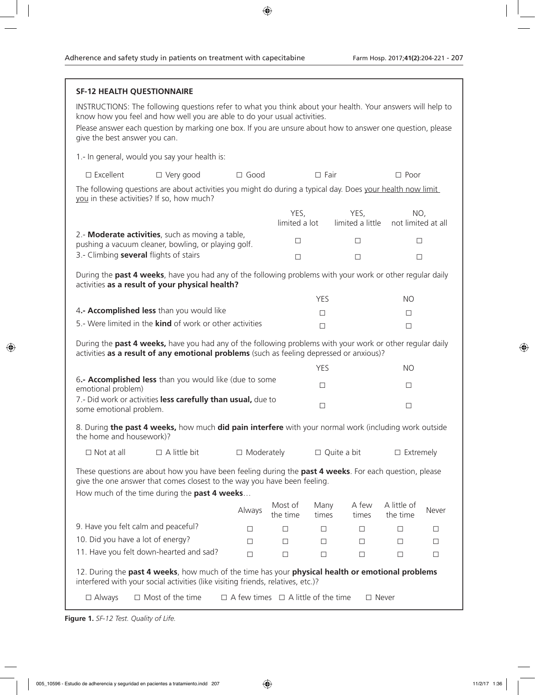|                                                                                                                                                                                                                                           | <b>SF-12 HEALTH QUESTIONNAIRE</b>                                                                                                                                                                                                                                                                    |                                                |                            |                    |                          |                           |                  |  |
|-------------------------------------------------------------------------------------------------------------------------------------------------------------------------------------------------------------------------------------------|------------------------------------------------------------------------------------------------------------------------------------------------------------------------------------------------------------------------------------------------------------------------------------------------------|------------------------------------------------|----------------------------|--------------------|--------------------------|---------------------------|------------------|--|
| give the best answer you can.                                                                                                                                                                                                             | INSTRUCTIONS: The following questions refer to what you think about your health. Your answers will help to<br>know how you feel and how well you are able to do your usual activities.<br>Please answer each question by marking one box. If you are unsure about how to answer one question, please |                                                |                            |                    |                          |                           |                  |  |
|                                                                                                                                                                                                                                           | 1.- In general, would you say your health is:                                                                                                                                                                                                                                                        |                                                |                            |                    |                          |                           |                  |  |
| $\square$ Excellent                                                                                                                                                                                                                       | $\Box$ Very good                                                                                                                                                                                                                                                                                     | $\Box$ Good                                    | $\Box$ Fair<br>$\Box$ Poor |                    |                          |                           |                  |  |
| The following questions are about activities you might do during a typical day. Does your health now limit<br>you in these activities? If so, how much?                                                                                   |                                                                                                                                                                                                                                                                                                      |                                                |                            |                    |                          |                           |                  |  |
|                                                                                                                                                                                                                                           |                                                                                                                                                                                                                                                                                                      |                                                | YES,<br>limited a lot      |                    | YES,<br>limited a little | NO,<br>not limited at all |                  |  |
| 2.- Moderate activities, such as moving a table,<br>pushing a vacuum cleaner, bowling, or playing golf.                                                                                                                                   |                                                                                                                                                                                                                                                                                                      |                                                | □                          |                    | $\Box$                   | □                         |                  |  |
|                                                                                                                                                                                                                                           | 3.- Climbing several flights of stairs                                                                                                                                                                                                                                                               |                                                | $\Box$                     |                    | $\Box$                   | □                         |                  |  |
| During the past 4 weeks, have you had any of the following problems with your work or other regular daily<br>activities as a result of your physical health?                                                                              |                                                                                                                                                                                                                                                                                                      |                                                |                            |                    |                          |                           |                  |  |
|                                                                                                                                                                                                                                           |                                                                                                                                                                                                                                                                                                      |                                                |                            | YES                |                          | NO.                       |                  |  |
|                                                                                                                                                                                                                                           | 4.- Accomplished less than you would like                                                                                                                                                                                                                                                            |                                                |                            | $\Box$             |                          |                           | $\Box$           |  |
| 5.- Were limited in the <b>kind</b> of work or other activities                                                                                                                                                                           |                                                                                                                                                                                                                                                                                                      |                                                |                            | $\Box$<br>$\Box$   |                          |                           |                  |  |
| During the past 4 weeks, have you had any of the following problems with your work or other regular daily<br>activities as a result of any emotional problems (such as feeling depressed or anxious)?                                     |                                                                                                                                                                                                                                                                                                      |                                                |                            |                    |                          |                           |                  |  |
|                                                                                                                                                                                                                                           |                                                                                                                                                                                                                                                                                                      |                                                |                            | <b>YES</b>         |                          | <b>NO</b>                 |                  |  |
| 6.- Accomplished less than you would like (due to some<br>emotional problem)<br>7.- Did work or activities less carefully than usual, due to<br>some emotional problem.                                                                   |                                                                                                                                                                                                                                                                                                      |                                                |                            | □                  |                          |                           | $\Box$<br>$\Box$ |  |
|                                                                                                                                                                                                                                           |                                                                                                                                                                                                                                                                                                      |                                                |                            | $\Box$             |                          |                           |                  |  |
| 8. During the past 4 weeks, how much did pain interfere with your normal work (including work outside<br>the home and housework)?                                                                                                         |                                                                                                                                                                                                                                                                                                      |                                                |                            |                    |                          |                           |                  |  |
| $\Box$ Not at all                                                                                                                                                                                                                         | $\Box$ A little bit                                                                                                                                                                                                                                                                                  | $\Box$ Moderately                              |                            | $\Box$ Quite a bit |                          | $\Box$ Extremely          |                  |  |
| These questions are about how you have been feeling during the past 4 weeks. For each question, please<br>give the one answer that comes closest to the way you have been feeling.<br>How much of the time during the <b>past 4 weeks</b> |                                                                                                                                                                                                                                                                                                      |                                                |                            |                    |                          |                           |                  |  |
|                                                                                                                                                                                                                                           |                                                                                                                                                                                                                                                                                                      | Always                                         | Most of<br>the time        | Many<br>times      | A few<br>times           | A little of<br>the time   | Never            |  |
|                                                                                                                                                                                                                                           | 9. Have you felt calm and peaceful?                                                                                                                                                                                                                                                                  | □                                              | $\Box$                     | □                  | $\Box$                   | $\Box$                    | □                |  |
|                                                                                                                                                                                                                                           | 10. Did you have a lot of energy?                                                                                                                                                                                                                                                                    | □                                              | □                          | □                  | □                        | $\Box$                    | □                |  |
|                                                                                                                                                                                                                                           | 11. Have you felt down-hearted and sad?                                                                                                                                                                                                                                                              | $\Box$                                         | $\Box$                     | □                  | $\Box$                   | $\Box$                    | □                |  |
| 12. During the past 4 weeks, how much of the time has your physical health or emotional problems<br>interfered with your social activities (like visiting friends, relatives, etc.)?                                                      |                                                                                                                                                                                                                                                                                                      |                                                |                            |                    |                          |                           |                  |  |
| $\square$ Always                                                                                                                                                                                                                          | $\Box$ Most of the time                                                                                                                                                                                                                                                                              | $\Box$ A few times $\Box$ A little of the time |                            |                    |                          | $\Box$ Never              |                  |  |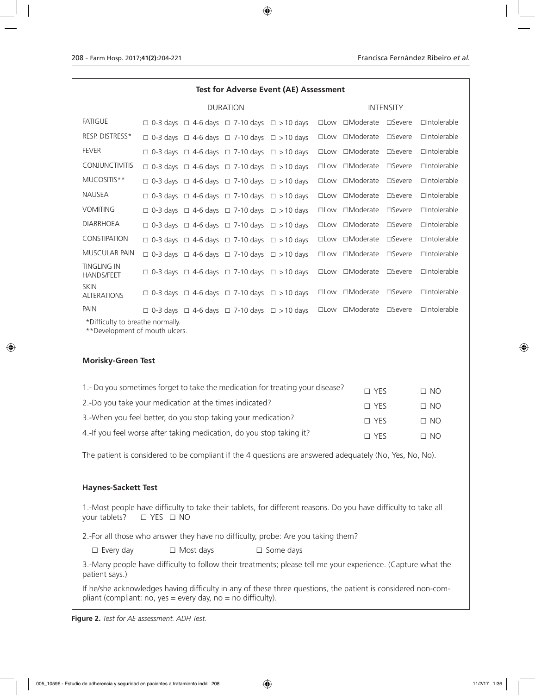| <b>Test for Adverse Event (AE) Assessment</b>      |                 |  |                                                                   |  |                  |                        |                  |                    |
|----------------------------------------------------|-----------------|--|-------------------------------------------------------------------|--|------------------|------------------------|------------------|--------------------|
|                                                    | <b>DURATION</b> |  |                                                                   |  | <b>INTENSITY</b> |                        |                  |                    |
| <b>FATIGUE</b>                                     |                 |  | $\Box$ 0-3 days $\Box$ 4-6 days $\Box$ 7-10 days $\Box$ > 10 days |  | $\square$ Low    | □Moderate □Severe      |                  | $\Box$ Intolerable |
| RESP. DISTRESS*                                    |                 |  | $\Box$ 0-3 days $\Box$ 4-6 days $\Box$ 7-10 days $\Box$ > 10 days |  | $\square$ Low    | $\Box$ Moderate        | □Severe          | $\Box$ Intolerable |
| <b>FEVER</b>                                       |                 |  | $\Box$ 0-3 days $\Box$ 4-6 days $\Box$ 7-10 days $\Box$ > 10 days |  | $\square$ Low    | $\Box$ Moderate        | □Severe          | $\Box$ Intolerable |
| <b>CONJUNCTIVITIS</b>                              |                 |  | $\Box$ 0-3 days $\Box$ 4-6 days $\Box$ 7-10 days $\Box$ > 10 days |  | $\square$ Low    | $\Box$ Moderate        | □Severe          | $\Box$ Intolerable |
| MUCOSITIS**                                        |                 |  | $\Box$ 0-3 days $\Box$ 4-6 days $\Box$ 7-10 days $\Box$ > 10 days |  | $\square$ Low    | $\Box$ Moderate        | $\square$ Severe | $\Box$ Intolerable |
| <b>NAUSEA</b>                                      |                 |  | $\Box$ 0-3 days $\Box$ 4-6 days $\Box$ 7-10 days $\Box$ > 10 days |  | $\square$ Low    | □Moderate □Severe      |                  | $\Box$ Intolerable |
| <b>VOMITING</b>                                    |                 |  | $\Box$ 0-3 days $\Box$ 4-6 days $\Box$ 7-10 days $\Box$ > 10 days |  | $\square$ Low    | $\Box$ Moderate        | $\square$ Severe | $\Box$ Intolerable |
| <b>DIARRHOEA</b>                                   |                 |  | $\Box$ 0-3 days $\Box$ 4-6 days $\Box$ 7-10 days $\Box$ > 10 days |  | $\square$ Low    | $\Box$ Moderate        | $\square$ Severe | $\Box$ Intolerable |
| <b>CONSTIPATION</b>                                |                 |  | $\Box$ 0-3 days $\Box$ 4-6 days $\Box$ 7-10 days $\Box$ > 10 days |  | $\square$ Low    | $\Box$ Moderate        | $\square$ Severe | $\Box$ Intolerable |
| <b>MUSCULAR PAIN</b>                               |                 |  | $\Box$ 0-3 days $\Box$ 4-6 days $\Box$ 7-10 days $\Box$ > 10 days |  | $\square$ Low    | $\Box$ Moderate        | □Severe          | $\Box$ Intolerable |
| <b>TINGLING IN</b><br><b>HANDS/FEET</b>            |                 |  | $\Box$ 0-3 days $\Box$ 4-6 days $\Box$ 7-10 days $\Box$ > 10 days |  | $\square$ Low    | $\Box$ Moderate        | $\square$ Severe | $\Box$ Intolerable |
| <b>SKIN</b><br><b>ALTERATIONS</b>                  |                 |  | $\Box$ 0-3 days $\Box$ 4-6 days $\Box$ 7-10 days $\Box$ > 10 days |  |                  | □Low □Moderate □Severe |                  | $\Box$ Intolerable |
| <b>PAIN</b><br>$*$ Difficulty to broother permally |                 |  | $\Box$ 0-3 days $\Box$ 4-6 days $\Box$ 7-10 days $\Box$ > 10 days |  | $\square$ Low    | $\Box$ Moderate        | □Severe          | $\Box$ Intolerable |

\*Difficulty to breathe normally.

\*\*Development of mouth ulcers.

#### **Morisky-Green Test**

| 1.- Do you sometimes forget to take the medication for treating your disease? | $\Box$ YFS | $\Box$ NO |
|-------------------------------------------------------------------------------|------------|-----------|
| 2.-Do you take your medication at the times indicated?                        | $\Box$ YFS | $\Box$ NO |
| 3. When you feel better, do you stop taking your medication?                  | $\Box$ YFS | $\Box$ NO |
| 4. If you feel worse after taking medication, do you stop taking it?          | $\Box$ YFS | $\Box$ NO |

The patient is considered to be compliant if the 4 questions are answered adequately (No, Yes, No, No).

### **Haynes-Sackett Test**

1.-Most people have difficulty to take their tablets, for different reasons. Do you have difficulty to take all your tablets? □ YES □ NO

2.-For all those who answer they have no difficulty, probe: Are you taking them?

□ Every day □ Most days □ Some days

3.-Many people have difficulty to follow their treatments; please tell me your experience. (Capture what the patient says.)

If he/she acknowledges having difficulty in any of these three questions, the patient is considered non-compliant (compliant: no, yes = every day, no = no difficulty).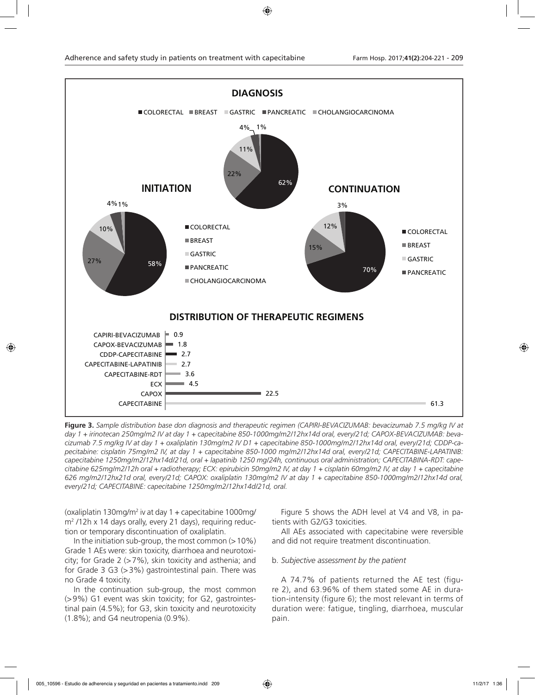

**Figure 3.** *Sample distribution base don diagnosis and therapeutic regimen (CAPIRI-BEVACIZUMAB: bevacizumab 7.5 mg/kg IV at day 1 + irinotecan 250mg/m2 IV at day 1 + capecitabine 850-1000mg/m2/12hx14d oral, every/21d; CAPOX-BEVACIZUMAB: bevacizumab 7.5 mg/kg IV at day 1 + oxaliplatin 130mg/m2 IV D1 + capecitabine 850-1000mg/m2/12hx14d oral, every/21d; CDDP-capecitabine: cisplatin 75mg/m2 IV, at day 1 + capecitabine 850-1000 mg/m2/12hx14d oral, every/21d; CAPECITABINE-LAPATINIB: capecitabine 1250mg/m2/12hx14d/21d, oral + lapatinib 1250 mg/24h, continuous oral administration; CAPECITABINA-RDT: capecitabine 625mg/m2/12h oral + radiotherapy; ECX: epirubicin 50mg/m2 IV, at day 1 + cisplatin 60mg/m2 IV, at day 1 + capecitabine 626 mg/m2/12hx21d oral, every/21d; CAPOX: oxaliplatin 130mg/m2 IV at day 1 + capecitabine 850-1000mg/m2/12hx14d oral, every/21d; CAPECITABINE: capecitabine 1250mg/m2/12hx14d/21d, oral.*

(oxaliplatin 130mg/m2 iv at day 1 + capecitabine 1000mg/ m2 /12h x 14 days orally, every 21 days), requiring reduction or temporary discontinuation of oxaliplatin.

In the initiation sub-group, the most common  $(>10\%)$ Grade 1 AEs were: skin toxicity, diarrhoea and neurotoxicity; for Grade 2  $(>=7\%)$ , skin toxicity and asthenia; and for Grade 3 G3 (>3%) gastrointestinal pain. There was no Grade 4 toxicity.

In the continuation sub-group, the most common (>9%) G1 event was skin toxicity; for G2, gastrointestinal pain (4.5%); for G3, skin toxicity and neurotoxicity (1.8%); and G4 neutropenia (0.9%).

Figure 5 shows the ADH level at V4 and V8, in patients with G2/G3 toxicities.

All AEs associated with capecitabine were reversible and did not require treatment discontinuation.

#### b. *Subjective assessment by the patient*

A 74.7% of patients returned the AE test (figure 2), and 63.96% of them stated some AE in duration-intensity (figure 6); the most relevant in terms of duration were: fatigue, tingling, diarrhoea, muscular pain.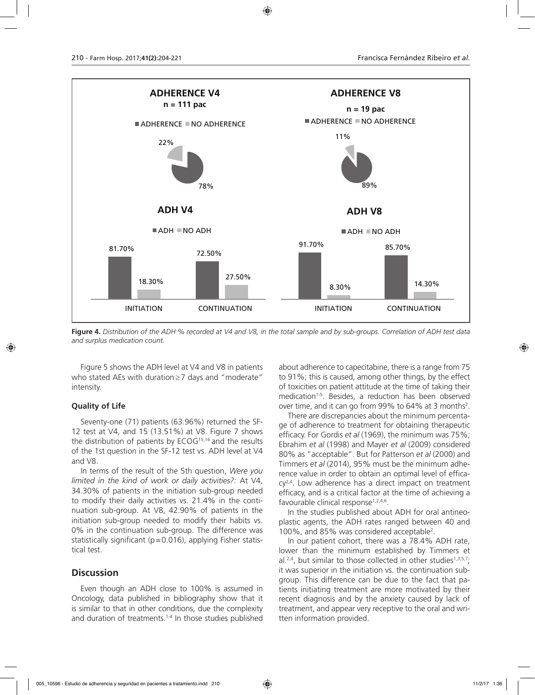

**Figure 4.** *Distribution of the ADH % recorded at V4 and V8, in the total sample and by sub-groups. Correlation of ADH test data and surplus medication count.*

Figure 5 shows the ADH level at V4 and V8 in patients who stated AEs with duration≥7 days and "moderate" intensity.

# **Quality of Life**

Seventy-one (71) patients (63.96%) returned the SF-12 test at V4, and 15 (13.51%) at V8. Figure 7 shows the distribution of patients by ECOG15,16 and the results of the 1st question in the SF-12 test vs. ADH level at V4 and V8.

In terms of the result of the 5th question, *Were you limited in the kind of work or daily activities?:* At V4, 34.30% of patients in the initiation sub-group needed to modify their daily activities vs. 21.4% in the continuation sub-group. At V8, 42.90% of patients in the initiation sub-group needed to modify their habits vs. 0% in the continuation sub-group. The difference was statistically significant ( $p=0.016$ ), applying Fisher statistical test.

# **Discussion**

Even though an ADH close to 100% is assumed in Oncology, data published in bibliography show that it is similar to that in other conditions, due the complexity and duration of treatments.<sup>1-4</sup> In those studies published about adherence to capecitabine, there is a range from 75 to 91%; this is caused, among other things, by the effect of toxicities on patient attitude at the time of taking their medication<sup>1-5</sup>. Besides, a reduction has been observed over time, and it can go from 99% to  $64\%$  at 3 months<sup>2</sup>.

There are discrepancies about the minimum percentage of adherence to treatment for obtaining therapeutic efficacy. For Gordis *et al* (1969), the minimum was 75%; Ebrahim *et al* (1998) and Mayer *et al* (2009) considered 80% as "acceptable". But for Patterson *et al* (2000) and Timmers *et al* (2014), 95% must be the minimum adherence value in order to obtain an optimal level of effica $cy<sup>2,4</sup>$ . Low adherence has a direct impact on treatment efficacy, and is a critical factor at the time of achieving a favourable clinical response<sup>1,2,4,6</sup>.

In the studies published about ADH for oral antineoplastic agents, the ADH rates ranged between 40 and 100%, and 85% was considered acceptable2 .

In our patient cohort, there was a 78.4% ADH rate, lower than the minimum established by Timmers et al.<sup>2,4</sup>, but similar to those collected in other studies<sup>1,3,5,7</sup>; it was superior in the initiation vs. the continuation subgroup. This difference can be due to the fact that patients initiating treatment are more motivated by their recent diagnosis and by the anxiety caused by lack of treatment, and appear very receptive to the oral and written information provided.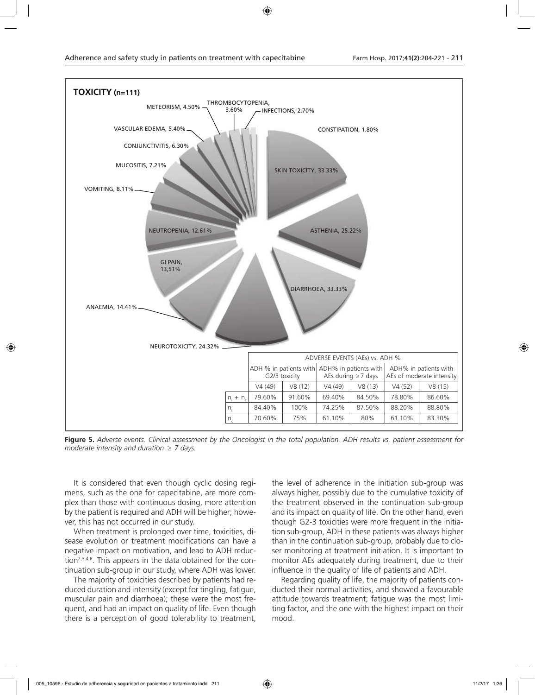

**Figure 5.** *Adverse events. Clinical assessment by the Oncologist in the total population. ADH results vs. patient assessment for moderate intensity and duration ≥ 7 days.*

It is considered that even though cyclic dosing regimens, such as the one for capecitabine, are more complex than those with continuous dosing, more attention by the patient is required and ADH will be higher; however, this has not occurred in our study.

When treatment is prolonged over time, toxicities, disease evolution or treatment modifications can have a negative impact on motivation, and lead to ADH reduction<sup>2,3,4,6</sup>. This appears in the data obtained for the continuation sub-group in our study, where ADH was lower.

The majority of toxicities described by patients had reduced duration and intensity (except for tingling, fatigue, muscular pain and diarrhoea); these were the most frequent, and had an impact on quality of life. Even though there is a perception of good tolerability to treatment,

the level of adherence in the initiation sub-group was always higher, possibly due to the cumulative toxicity of the treatment observed in the continuation sub-group and its impact on quality of life. On the other hand, even though G2-3 toxicities were more frequent in the initiation sub-group, ADH in these patients was always higher than in the continuation sub-group, probably due to closer monitoring at treatment initiation. It is important to monitor AEs adequately during treatment, due to their influence in the quality of life of patients and ADH.

Regarding quality of life, the majority of patients conducted their normal activities, and showed a favourable attitude towards treatment; fatigue was the most limiting factor, and the one with the highest impact on their mood.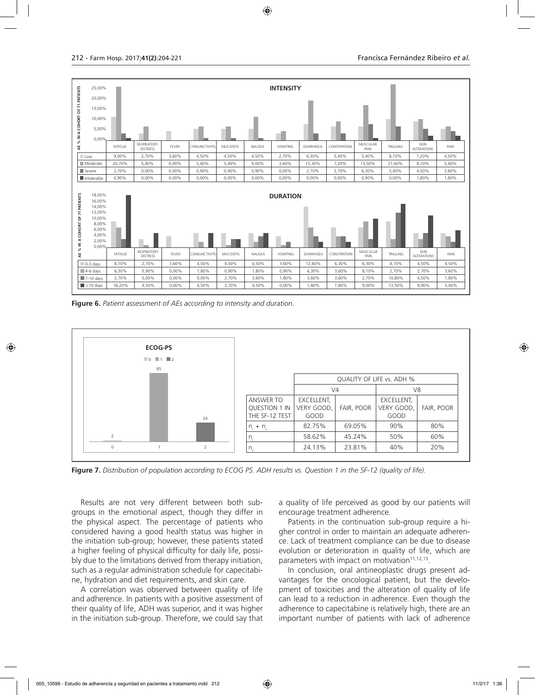

**Figure 6.** *Patient assessment of AEs according to intensity and duration.*



**Figure 7.** *Distribution of population according to ECOG PS. ADH results vs. Question 1 in the SF-12 (quality of life).*

Results are not very different between both subgroups in the emotional aspect, though they differ in the physical aspect. The percentage of patients who considered having a good health status was higher in the initiation sub-group; however, these patients stated a higher feeling of physical difficulty for daily life, possibly due to the limitations derived from therapy initiation, such as a regular administration schedule for capecitabine, hydration and diet requirements, and skin care.

A correlation was observed between quality of life and adherence. In patients with a positive assessment of their quality of life, ADH was superior, and it was higher in the initiation sub-group. Therefore, we could say that a quality of life perceived as good by our patients will encourage treatment adherence.

Patients in the continuation sub-group require a higher control in order to maintain an adequate adherence. Lack of treatment compliance can be due to disease evolution or deterioration in quality of life, which are parameters with impact on motivation<sup>11,12,13</sup>.

In conclusion, oral antineoplastic drugs present advantages for the oncological patient, but the development of toxicities and the alteration of quality of life can lead to a reduction in adherence. Even though the adherence to capecitabine is relatively high, there are an important number of patients with lack of adherence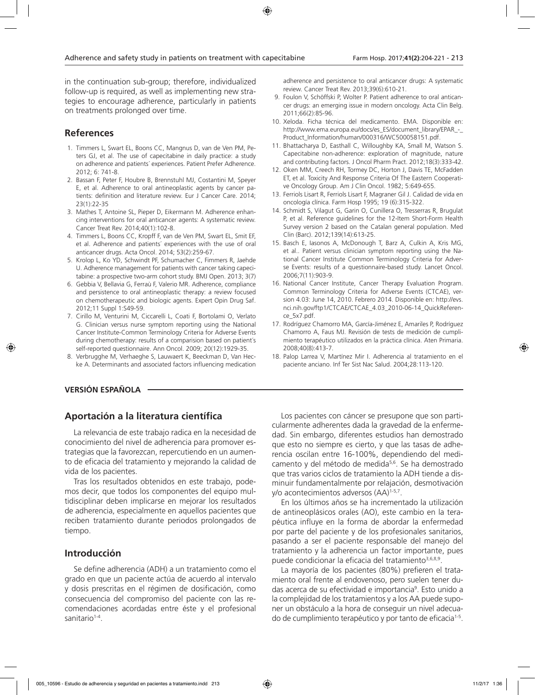in the continuation sub-group; therefore, individualized follow-up is required, as well as implementing new strategies to encourage adherence, particularly in patients on treatments prolonged over time.

# **References**

- 1. Timmers L, Swart EL, Boons CC, Mangnus D, van de Ven PM, Peters GJ, et al. The use of capecitabine in daily practice: a study on adherence and patients´ experiences. Patient Prefer Adherence. 2012; 6: 741-8.
- 2. Bassan F, Peter F, Houbre B, Brennstuhl MJ, Costantini M, Speyer E, et al. Adherence to oral antineoplastic agents by cancer patients: definition and literature review. Eur J Cancer Care. 2014; 23(1):22-35
- 3. Mathes T, Antoine SL, Pieper D, Eikermann M. Adherence enhancing interventions for oral anticancer agents: A systematic review. Cancer Treat Rev. 2014;40(1):102-8.
- 4. Timmers L, Boons CC, Kropff F, van de Ven PM, Swart EL, Smit EF, et al. Adherence and patients´ experiences with the use of oral anticancer drugs. Acta Oncol. 2014; 53(2):259-67.
- 5. Krolop L, Ko YD, Schwindt PF, Schumacher C, Fimmers R, Jaehde U. Adherence management for patients with cancer taking capecitabine: a prospective two-arm cohort study. BMJ Open. 2013; 3(7)
- 6. Gebbia V, Bellavia G, Ferraù F, Valerio MR. Adherence, compliance and persistence to oral antineoplastic therapy: a review focused on chemotherapeutic and biologic agents. Expert Opin Drug Saf. 2012;11 Suppl 1:S49-59.
- 7. Cirillo M, Venturini M, Ciccarelli L, Coati F, Bortolami O, Verlato G. Clinician versus nurse symptom reporting using the National Cancer Institute-Common Terminology Criteria for Adverse Events during chemotherapy: results of a comparision based on patient´s self-reported questionnaire. Ann Oncol. 2009; 20(12):1929-35.
- 8. Verbrugghe M, Verhaeghe S, Lauwaert K, Beeckman D, Van Hecke A. Determinants and associated factors influencing medication

# **VERSIÓN ESPAÑOLA**

# **Aportación a la literatura científica**

La relevancia de este trabajo radica en la necesidad de conocimiento del nivel de adherencia para promover estrategias que la favorezcan, repercutiendo en un aumento de eficacia del tratamiento y mejorando la calidad de vida de los pacientes.

Tras los resultados obtenidos en este trabajo, podemos decir, que todos los componentes del equipo multidisciplinar deben implicarse en mejorar los resultados de adherencia, especialmente en aquellos pacientes que reciben tratamiento durante periodos prolongados de tiempo.

# **Introducción**

Se define adherencia (ADH) a un tratamiento como el grado en que un paciente actúa de acuerdo al intervalo y dosis prescritas en el régimen de dosificación, como consecuencia del compromiso del paciente con las recomendaciones acordadas entre éste y el profesional sanitario<sup>1-4</sup>.

adherence and persistence to oral anticancer drugs: A systematic review. Cancer Treat Rev. 2013;39(6):610-21.

- 9. Foulon V, Schöffski P, Wolter P. Patient adherence to oral anticancer drugs: an emerging issue in modern oncology. Acta Clin Belg. 2011;66(2):85-96.
- 10. Xeloda. Ficha técnica del medicamento. EMA. Disponible en: http://www.ema.europa.eu/docs/es\_ES/document\_library/EPAR\_-Product\_Information/human/000316/WC500058151.pdf.
- 11. Bhattacharya D, Easthall C, Willoughby KA, Small M, Watson S. Capecitabine non-adherence: exploration of magnitude, nature and contributing factors. J Oncol Pharm Pract. 2012;18(3):333-42.
- 12. Oken MM, Creech RH, Tormey DC, Horton J, Davis TE, McFadden ET, et al. Toxicity And Response Criteria Of The Eastern Cooperative Oncology Group. Am J Clin Oncol. 1982; 5:649-655.
- 13. Ferriols Lisart R, Ferriols Lisart F, Magraner Gil J. Calidad de vida en oncología clínica. Farm Hosp 1995; 19 (6):315-322.
- 14. Schmidt S, Vilagut G, Garin O, Cunillera O, Tresserras R, Brugulat P, et al. Reference guidelines for the 12-Item Short-Form Health Survey version 2 based on the Catalan general population. Med Clin (Barc). 2012;139(14):613-25.
- 15. Basch E, Iasonos A, McDonough T, Barz A, Culkin A, Kris MG, et al.. Patient versus clinician symptom reporting using the National Cancer Institute Common Terminology Criteria for Adverse Events: results of a questionnaire-based study. Lancet Oncol. 2006;7(11):903-9.
- 16. National Cancer Institute, Cancer Therapy Evaluation Program. Common Terminology Criteria for Adverse Events (CTCAE), version 4.03: June 14, 2010. Febrero 2014. Disponible en: http://evs. nci.nih.gov/ftp1/CTCAE/CTCAE\_4.03\_2010-06-14\_QuickReference\_5x7.pdf.
- 17. Rodríguez Chamorro MA, García-Jiménez E, Amariles P, Rodríguez Chamorro A, Faus MJ. Revisión de tests de medición de cumplimiento terapéutico utilizados en la práctica clínica. Aten Primaria. 2008;40(8):413-7.
- 18. Palop Larrea V, Martínez Mir I. Adherencia al tratamiento en el paciente anciano. Inf Ter Sist Nac Salud. 2004;28:113-120.

Los pacientes con cáncer se presupone que son particularmente adherentes dada la gravedad de la enfermedad. Sin embargo, diferentes estudios han demostrado que esto no siempre es cierto, y que las tasas de adherencia oscilan entre 16-100%, dependiendo del medicamento y del método de medida<sup>5,6</sup>. Se ha demostrado que tras varios ciclos de tratamiento la ADH tiende a disminuir fundamentalmente por relajación, desmotivación y/o acontecimientos adversos (AA)1-5,7.

En los últimos años se ha incrementado la utilización de antineoplásicos orales (AO), este cambio en la terapéutica influye en la forma de abordar la enfermedad por parte del paciente y de los profesionales sanitarios, pasando a ser el paciente responsable del manejo del tratamiento y la adherencia un factor importante, pues puede condicionar la eficacia del tratamiento<sup>3,6,8,9</sup>.

La mayoría de los pacientes (80%) prefieren el tratamiento oral frente al endovenoso, pero suelen tener dudas acerca de su efectividad e importancia<sup>9</sup>. Esto unido a la complejidad de los tratamientos y a los AA puede suponer un obstáculo a la hora de conseguir un nivel adecuado de cumplimiento terapéutico y por tanto de eficacia1-5.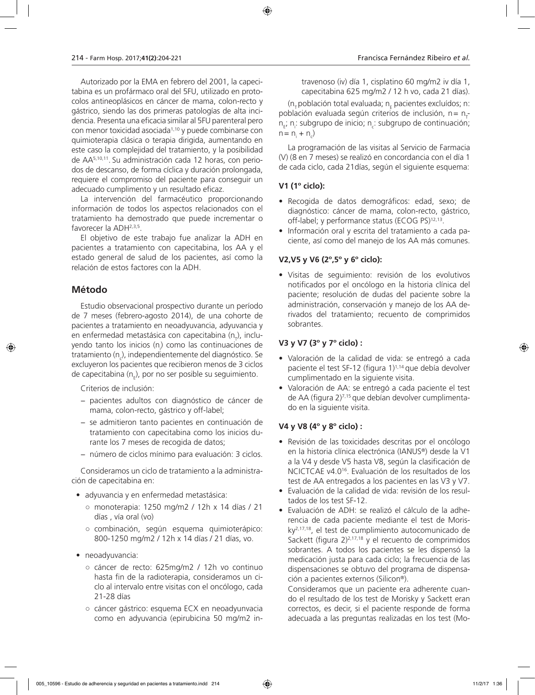Autorizado por la EMA en febrero del 2001, la capecitabina es un profármaco oral del 5FU, utilizado en protocolos antineoplásicos en cáncer de mama, colon-recto y gástrico, siendo las dos primeras patologías de alta incidencia. Presenta una eficacia similar al 5FU parenteral pero con menor toxicidad asociada1,10 y puede combinarse con quimioterapia clásica o terapia dirigida, aumentando en este caso la complejidad del tratamiento, y la posibilidad de AA5,10,11. Su administración cada 12 horas, con periodos de descanso, de forma cíclica y duración prolongada, requiere el compromiso del paciente para conseguir un adecuado cumplimento y un resultado eficaz.

La intervención del farmacéutico proporcionando información de todos los aspectos relacionados con el tratamiento ha demostrado que puede incrementar o favorecer la ADH<sup>2,3,5</sup>.

El objetivo de este trabajo fue analizar la ADH en pacientes a tratamiento con capecitabina, los AA y el estado general de salud de los pacientes, así como la relación de estos factores con la ADH.

# **Método**

Estudio observacional prospectivo durante un período de 7 meses (febrero-agosto 2014), de una cohorte de pacientes a tratamiento en neoadyuvancia, adyuvancia y en enfermedad metastásica con capecitabina (n<sub>ī</sub>), incluyendo tanto los inicios (n<sub>i</sub>) como las continuaciones de tratamiento (n<sub>c</sub>), independientemente del diagnóstico. Se excluyeron los pacientes que recibieron menos de 3 ciclos de capecitabina (n<sub>ɛ</sub>), por no ser posible su seguimiento.

Criterios de inclusión:

- − pacientes adultos con diagnóstico de cáncer de mama, colon-recto, gástrico y off-label;
- − se admitieron tanto pacientes en continuación de tratamiento con capecitabina como los inicios durante los 7 meses de recogida de datos;
- − número de ciclos mínimo para evaluación: 3 ciclos.

Consideramos un ciclo de tratamiento a la administración de capecitabina en:

- adyuvancia y en enfermedad metastásica:
	- monoterapia: 1250 mg/m2 / 12h x 14 días / 21 días , vía oral (vo)
	- combinación, según esquema quimioterápico: 800-1250 mg/m2 / 12h x 14 días / 21 días, vo.
- neoadyuvancia:
	- cáncer de recto: 625mg/m2 / 12h vo continuo hasta fin de la radioterapia, consideramos un ciclo al intervalo entre visitas con el oncólogo, cada 21-28 días
	- cáncer gástrico: esquema ECX en neoadyunvacia como en adyuvancia (epirubicina 50 mg/m2 in-

travenoso (iv) día 1, cisplatino 60 mg/m2 iv día 1, capecitabina 625 mg/m2 / 12 h vo, cada 21 días).

(n<sub>T</sub> población total evaluada; n<sub>E</sub> pacientes excluídos; n: población evaluada según criterios de inclusión, n= n<sub>T</sub> n<sub>E</sub>; n<sub>i</sub>: subgrupo de inicio; n<sub>c</sub>: subgrupo de continuación;  $n = n_i + n_c$ 

La programación de las visitas al Servicio de Farmacia (V) (8 en 7 meses) se realizó en concordancia con el día 1 de cada ciclo, cada 21días, según el siguiente esquema:

# **V1 (1º ciclo):**

- Recogida de datos demográficos: edad, sexo; de diagnóstico: cáncer de mama, colon-recto, gástrico, off-label; y performance status (ECOG PS)12,13.
- Información oral y escrita del tratamiento a cada paciente, así como del manejo de los AA más comunes.

### **V2,V5 y V6 (2º,5º y 6º ciclo):**

• Visitas de seguimiento: revisión de los evolutivos notificados por el oncólogo en la historia clínica del paciente; resolución de dudas del paciente sobre la administración, conservación y manejo de los AA derivados del tratamiento; recuento de comprimidos sobrantes.

# **V3 y V7 (3º y 7º ciclo) :**

- Valoración de la calidad de vida: se entregó a cada paciente el test SF-12 (figura 1)1,14 que debía devolver cumplimentado en la siguiente visita.
- Valoración de AA: se entregó a cada paciente el test de AA (figura 2)7,15 que debían devolver cumplimentado en la siguiente visita.

# **V4 y V8 (4º y 8º ciclo) :**

- Revisión de las toxicidades descritas por el oncólogo en la historia clínica electrónica (IANUS®) desde la V1 a la V4 y desde V5 hasta V8, según la clasificación de NCICTCAE v4.016. Evaluación de los resultados de los test de AA entregados a los pacientes en las V3 y V7.
- Evaluación de la calidad de vida: revisión de los resultados de los test SF-12.
- Evaluación de ADH: se realizó el cálculo de la adherencia de cada paciente mediante el test de Morisky2,17,18, el test de cumplimiento autocomunicado de Sackett (figura  $2)^{2,17,18}$  y el recuento de comprimidos sobrantes. A todos los pacientes se les dispensó la medicación justa para cada ciclo; la frecuencia de las dispensaciones se obtuvo del programa de dispensación a pacientes externos (Silicon®).

Consideramos que un paciente era adherente cuando el resultado de los test de Morisky y Sackett eran correctos, es decir, si el paciente responde de forma adecuada a las preguntas realizadas en los test (Mo-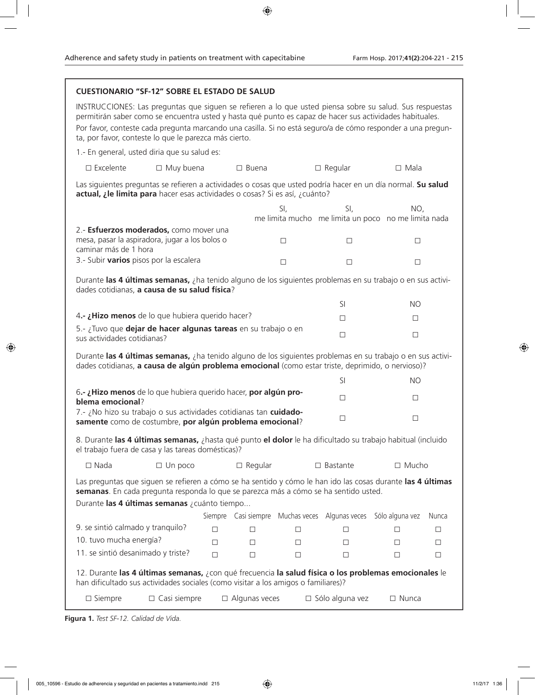| <b>CUESTIONARIO "SF-12" SOBRE EL ESTADO DE SALUD</b>                                                                                                                                                                                                                                                                                                                                         |                     |                      |                      |                  |                                                            |                 |             |
|----------------------------------------------------------------------------------------------------------------------------------------------------------------------------------------------------------------------------------------------------------------------------------------------------------------------------------------------------------------------------------------------|---------------------|----------------------|----------------------|------------------|------------------------------------------------------------|-----------------|-------------|
| INSTRUCCIONES: Las preguntas que siguen se refieren a lo que usted piensa sobre su salud. Sus respuestas<br>permitirán saber como se encuentra usted y hasta qué punto es capaz de hacer sus actividades habituales.<br>Por favor, conteste cada pregunta marcando una casilla. Si no está seguro/a de cómo responder a una pregun-<br>ta, por favor, conteste lo que le parezca más cierto. |                     |                      |                      |                  |                                                            |                 |             |
| 1.- En general, usted diria que su salud es:                                                                                                                                                                                                                                                                                                                                                 |                     |                      |                      |                  |                                                            |                 |             |
| $\square$ Excelente                                                                                                                                                                                                                                                                                                                                                                          | $\Box$ Muy buena    |                      | $\square$ Buena      |                  | $\Box$ Regular                                             | $\Box$ Mala     |             |
| Las siguientes preguntas se refieren a actividades o cosas que usted podría hacer en un día normal. Su salud<br>actual, ¿le limita para hacer esas actividades o cosas? Si es así, ¿cuánto?                                                                                                                                                                                                  |                     |                      |                      |                  |                                                            |                 |             |
|                                                                                                                                                                                                                                                                                                                                                                                              |                     |                      |                      | SI,              | SI,<br>me limita mucho me limita un poco no me limita nada | NO,             |             |
| 2.- Esfuerzos moderados, como mover una<br>mesa, pasar la aspiradora, jugar a los bolos o<br>caminar más de 1 hora                                                                                                                                                                                                                                                                           |                     |                      |                      | $\Box$           | $\Box$                                                     | $\Box$          |             |
| 3.- Subir varios pisos por la escalera                                                                                                                                                                                                                                                                                                                                                       |                     |                      |                      | $\Box$           | $\Box$                                                     | $\Box$          |             |
| Durante las 4 últimas semanas, ¿ha tenido alguno de los siguientes problemas en su trabajo o en sus activi-<br>dades cotidianas, a causa de su salud física?                                                                                                                                                                                                                                 |                     |                      |                      |                  |                                                            |                 |             |
|                                                                                                                                                                                                                                                                                                                                                                                              |                     |                      |                      |                  | SI                                                         | <b>NO</b>       |             |
| 4.- ¿Hizo menos de lo que hubiera querido hacer?                                                                                                                                                                                                                                                                                                                                             |                     |                      |                      |                  | $\Box$<br>$\Box$                                           |                 |             |
| 5.- ¿Tuvo que dejar de hacer algunas tareas en su trabajo o en<br>sus actividades cotidianas?                                                                                                                                                                                                                                                                                                |                     |                      |                      |                  | $\Box$<br>$\Box$                                           |                 |             |
| Durante las 4 últimas semanas, ¿ha tenido alguno de los siguientes problemas en su trabajo o en sus activi-<br>dades cotidianas, a causa de algún problema emocional (como estar triste, deprimido, o nervioso)?                                                                                                                                                                             |                     |                      |                      |                  |                                                            |                 |             |
|                                                                                                                                                                                                                                                                                                                                                                                              |                     |                      |                      |                  | SI                                                         | <b>NO</b>       |             |
| 6.- ¿Hizo menos de lo que hubiera querido hacer, por algún pro-<br>blema emocional?                                                                                                                                                                                                                                                                                                          |                     |                      |                      |                  | $\Box$                                                     | $\Box$          |             |
| 7.- ¿No hizo su trabajo o sus actividades cotidianas tan cuidado-<br>samente como de costumbre, por algún problema emocional?                                                                                                                                                                                                                                                                |                     |                      |                      | $\Box$           | $\Box$                                                     |                 |             |
| 8. Durante las 4 últimas semanas, ¿hasta qué punto el dolor le ha dificultado su trabajo habitual (incluido<br>el trabajo fuera de casa y las tareas domésticas)?                                                                                                                                                                                                                            |                     |                      |                      |                  |                                                            |                 |             |
| $\square$ Nada                                                                                                                                                                                                                                                                                                                                                                               | $\Box$ Un poco      |                      | $\Box$ Regular       |                  | □ Mucho<br>$\Box$ Bastante                                 |                 |             |
| Las preguntas que siguen se refieren a cómo se ha sentido y cómo le han ido las cosas durante las 4 últimas<br>semanas. En cada pregunta responda lo que se parezca más a cómo se ha sentido usted.                                                                                                                                                                                          |                     |                      |                      |                  |                                                            |                 |             |
| Durante las 4 últimas semanas ¿cuánto tiempo                                                                                                                                                                                                                                                                                                                                                 |                     |                      |                      |                  |                                                            |                 |             |
| 9. se sintió calmado y tranquilo?                                                                                                                                                                                                                                                                                                                                                            |                     | Siempre Casi siempre |                      |                  | Muchas veces Algunas veces Sólo alguna vez                 |                 | Nunca       |
| 10. tuvo mucha energía?                                                                                                                                                                                                                                                                                                                                                                      |                     | □<br>$\Box$          | □<br>□               | $\Box$<br>$\Box$ | □<br>□                                                     | □<br>$\Box$     | $\Box$<br>□ |
| 11. se sintió desanimado y triste?                                                                                                                                                                                                                                                                                                                                                           |                     | $\Box$               | $\Box$               | $\Box$           | □                                                          | $\Box$          | $\Box$      |
|                                                                                                                                                                                                                                                                                                                                                                                              |                     |                      |                      |                  |                                                            |                 |             |
| 12. Durante las 4 últimas semanas, ¿con qué frecuencia la salud física o los problemas emocionales le<br>han dificultado sus actividades sociales (como visitar a los amigos o familiares)?                                                                                                                                                                                                  |                     |                      |                      |                  |                                                            |                 |             |
| $\Box$ Siempre                                                                                                                                                                                                                                                                                                                                                                               | $\Box$ Casi siempre |                      | $\Box$ Algunas veces |                  | $\square$ Sólo alguna vez                                  | $\square$ Nunca |             |

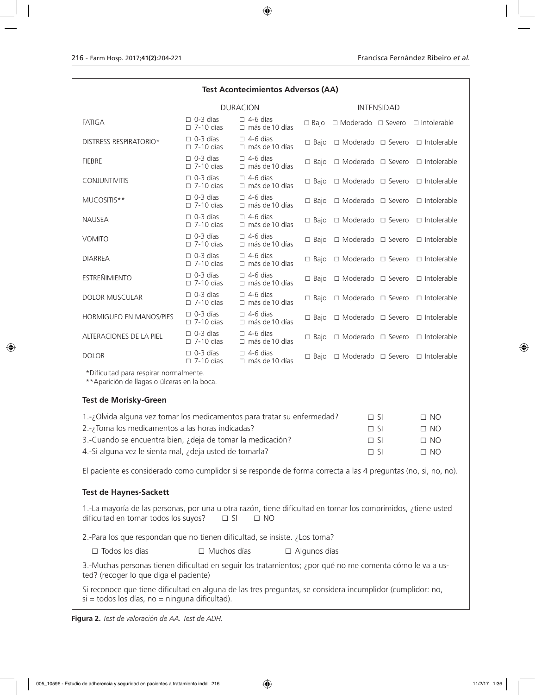### **Test Acontecimientos Adversos (AA)**

|                                | <b>DURACION</b>                     |                                          | <b>INTENSIDAD</b> |                                                  |  |                                                  |
|--------------------------------|-------------------------------------|------------------------------------------|-------------------|--------------------------------------------------|--|--------------------------------------------------|
| <b>FATIGA</b>                  | $\Box$ 0-3 días<br>$\Box$ 7-10 días | $\Box$ 4-6 días<br>$\Box$ más de 10 días | $\Box$ Bajo       | $\Box$ Moderado $\Box$ Severo $\Box$ Intolerable |  |                                                  |
| DISTRESS RESPIRATORIO*         | $\Box$ 0-3 días<br>$\Box$ 7-10 días | $\Box$ 4-6 días<br>$\Box$ más de 10 días | $\Box$ Bajo       |                                                  |  | $\Box$ Moderado $\Box$ Severo $\Box$ Intolerable |
| <b>FIEBRE</b>                  | $\Box$ 0-3 días<br>$\Box$ 7-10 días | $\Box$ 4-6 días<br>$\Box$ más de 10 días | $\Box$ Bajo       |                                                  |  | $\Box$ Moderado $\Box$ Severo $\Box$ Intolerable |
| <b>CONJUNTIVITIS</b>           | $\Box$ 0-3 días<br>$\Box$ 7-10 días | $\Box$ 4-6 días<br>$\Box$ más de 10 días | $\Box$ Bajo       | $\Box$ Moderado $\Box$ Severo                    |  | $\Box$ Intolerable                               |
| MUCOSITIS**                    | $\Box$ 0-3 días<br>$\Box$ 7-10 días | $\Box$ 4-6 días<br>$\Box$ más de 10 días | $\Box$ Bajo       | $\Box$ Moderado $\Box$ Severo                    |  | $\Box$ Intolerable                               |
| <b>NAUSEA</b>                  | $\Box$ 0-3 días<br>$\Box$ 7-10 días | $\Box$ 4-6 días<br>$\Box$ más de 10 días | $\Box$ Bajo       | $\Box$ Moderado $\Box$ Severo                    |  | □ Intolerable                                    |
| <b>VOMITO</b>                  | $\Box$ 0-3 días<br>$\Box$ 7-10 días | $\Box$ 4-6 días<br>$\Box$ más de 10 días | $\Box$ Bajo       | $\Box$ Moderado $\Box$ Severo                    |  | □ Intolerable                                    |
| <b>DIARREA</b>                 | $\Box$ 0-3 días<br>$\Box$ 7-10 días | $\Box$ 4-6 días<br>$\Box$ más de 10 días | $\Box$ Bajo       | $\Box$ Moderado $\Box$ Severo                    |  | $\Box$ Intolerable                               |
| <b>ESTREÑIMIENTO</b>           | $\Box$ 0-3 días<br>$\Box$ 7-10 días | $\Box$ 4-6 días<br>$\Box$ más de 10 días | $\Box$ Bajo       | $\Box$ Moderado $\Box$ Severo                    |  | $\Box$ Intolerable                               |
| <b>DOLOR MUSCULAR</b>          | $\Box$ 0-3 días<br>$\Box$ 7-10 días | $\Box$ 4-6 días<br>$\Box$ más de 10 días | $\Box$ Bajo       | $\Box$ Moderado $\Box$ Severo                    |  | $\Box$ Intolerable                               |
| <b>HORMIGUEO EN MANOS/PIES</b> | $\Box$ 0-3 días<br>$\Box$ 7-10 días | $\Box$ 4-6 días<br>$\Box$ más de 10 días | $\Box$ Bajo       | $\Box$ Moderado $\Box$ Severo                    |  | $\Box$ Intolerable                               |
| ALTERACIONES DE LA PIEL        | $\Box$ 0-3 días<br>$\Box$ 7-10 días | $\Box$ 4-6 días<br>$\Box$ más de 10 días | $\Box$ Bajo       | $\Box$ Moderado $\Box$ Severo                    |  | □ Intolerable                                    |
| <b>DOLOR</b>                   | $\Box$ 0-3 días<br>$\Box$ 7-10 días | $\Box$ 4-6 días<br>$\Box$ más de 10 días | $\Box$ Bajo       | $\Box$ Moderado $\Box$ Severo                    |  | □ Intolerable                                    |

\*Dificultad para respirar normalmente.

\*\*Aparición de llagas o úlceras en la boca.

### **Test de Morisky-Green**

| 1.-; Olvida alguna vez tomar los medicamentos para tratar su enfermedad? | $\Box$ SI | $\Box$ NO |
|--------------------------------------------------------------------------|-----------|-----------|
| 2.-; Toma los medicamentos a las horas indicadas?                        | $\Box$ SI | $\Box$ No |
| 3.-Cuando se encuentra bien, ¿deja de tomar la medicación?               | $\Box$ SI | $\Box$ NO |
| 4.-Si alguna vez le sienta mal, ¿deja usted de tomarla?                  | $\Box$ SI | $\Box$ No |

El paciente es considerado como cumplidor si se responde de forma correcta a las 4 preguntas (no, si, no, no).

### **Test de Haynes-Sackett**

1.-La mayoría de las personas, por una u otra razón, tiene dificultad en tomar los comprimidos, ¿tiene usted dificultad en tomar todos los suyos?  $\Box$  SI  $\Box$  NO

2.-Para los que respondan que no tienen dificultad, se insiste. ¿Los toma?

□ Todos los días □ Muchos días □ Algunos días

3.-Muchas personas tienen dificultad en seguir los tratamientos; ¿por qué no me comenta cómo le va a usted? (recoger lo que diga el paciente)

Si reconoce que tiene dificultad en alguna de las tres preguntas, se considera incumplidor (cumplidor: no,  $si =$  todos los días, no  $=$  ninguna dificultad).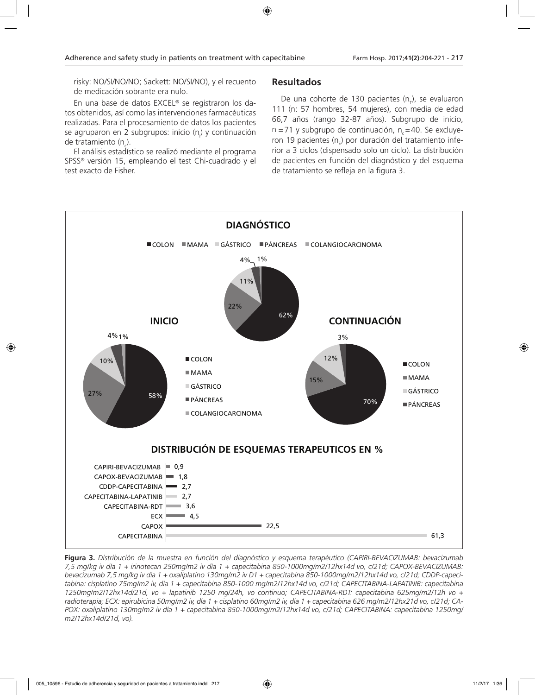risky: NO/SI/NO/NO; Sackett: NO/SI/NO), y el recuento de medicación sobrante era nulo.

En una base de datos EXCEL® se registraron los datos obtenidos, así como las intervenciones farmacéuticas realizadas. Para el procesamiento de datos los pacientes se agruparon en 2 subgrupos: inicio (n<sub>i</sub>) y continuación de tratamiento (n<sub>c</sub>).

El análisis estadístico se realizó mediante el programa SPSS® versión 15, empleando el test Chi-cuadrado y el test exacto de Fisher.

# **Resultados**

De una cohorte de 130 pacientes (n<sub>ī</sub>), se evaluaron 111 (n: 57 hombres, 54 mujeres), con media de edad 66,7 años (rango 32-87 años). Subgrupo de inicio, n<sub>i</sub>=71 y subgrupo de continuación, n<sub>c</sub>=40. Se excluyeron 19 pacientes (n<sub>E</sub>) por duración del tratamiento inferior a 3 ciclos (dispensado solo un ciclo). La distribución de pacientes en función del diagnóstico y del esquema de tratamiento se refleja en la figura 3.



**Figura 3.** *Distribución de la muestra en función del diagnóstico y esquema terapéutico (CAPIRI-BEVACIZUMAB: bevacizumab 7,5 mg/kg iv día 1 + irinotecan 250mg/m2 iv día 1 + capecitabina 850-1000mg/m2/12hx14d vo, c/21d; CAPOX-BEVACIZUMAB: bevacizumab 7,5 mg/kg iv día 1 + oxaliplatino 130mg/m2 iv D1 + capecitabina 850-1000mg/m2/12hx14d vo, c/21d; CDDP-capecitabina: cisplatino 75mg/m2 iv, día 1 + capecitabina 850-1000 mg/m2/12hx14d vo, c/21d; CAPECITABINA-LAPATINIB: capecitabina 1250mg/m2/12hx14d/21d, vo + lapatinib 1250 mg/24h, vo continuo; CAPECITABINA-RDT: capecitabina 625mg/m2/12h vo + radioterapia; ECX: epirubicina 50mg/m2 iv, día 1 + cisplatino 60mg/m2 iv, día 1 + capecitabina 626 mg/m2/12hx21d vo, c/21d; CA-POX: oxaliplatino 130mg/m2 iv día 1 + capecitabina 850-1000mg/m2/12hx14d vo, c/21d; CAPECITABINA: capecitabina 1250mg/ m2/12hx14d/21d, vo).*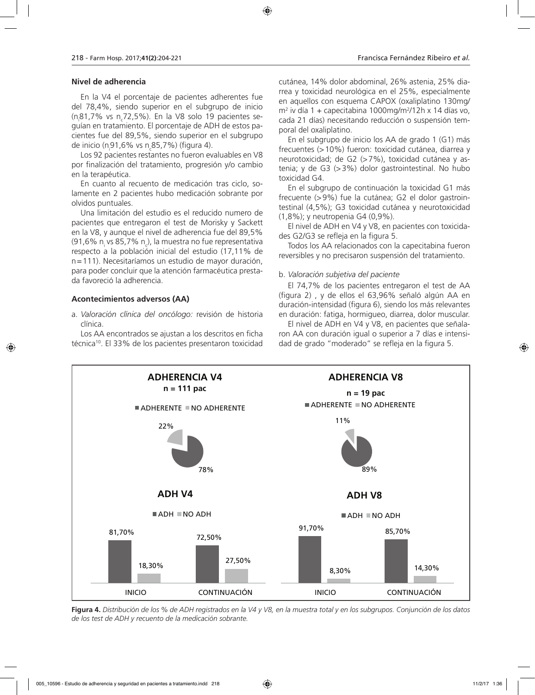#### **Nivel de adherencia**

En la V4 el porcentaje de pacientes adherentes fue del 78,4%, siendo superior en el subgrupo de inicio (n<sub>.</sub>81,7% vs n<sub>.</sub>72,5%). En la V8 solo 19 pacientes seguían en tratamiento. El porcentaje de ADH de estos pacientes fue del 89,5%, siendo superior en el subgrupo de inicio (n<sub>i</sub>91,6% vs n<sub>c</sub>85,7%) (figura 4).

Los 92 pacientes restantes no fueron evaluables en V8 por finalización del tratamiento, progresión y/o cambio en la terapéutica.

En cuanto al recuento de medicación tras ciclo, solamente en 2 pacientes hubo medicación sobrante por olvidos puntuales.

Una limitación del estudio es el reducido numero de pacientes que entregaron el test de Morisky y Sackett en la V8, y aunque el nivel de adherencia fue del 89,5% (91,6% n<sub>i</sub> vs 85,7% n<sub>c</sub>), la muestra no fue representativa respecto a la población inicial del estudio (17,11% de n=111). Necesitaríamos un estudio de mayor duración, para poder concluir que la atención farmacéutica prestada favoreció la adherencia.

### **Acontecimientos adversos (AA)**

a. *Valoración clínica del oncólogo:* revisión de historia clínica.

Los AA encontrados se ajustan a los descritos en ficha técnica<sup>10</sup>. El 33% de los pacientes presentaron toxicidad cutánea, 14% dolor abdominal, 26% astenia, 25% diarrea y toxicidad neurológica en el 25%, especialmente en aquellos con esquema CAPOX (oxaliplatino 130mg/ m2 iv día 1 + capecitabina 1000mg/m2 /12h x 14 días vo, cada 21 días) necesitando reducción o suspensión temporal del oxaliplatino.

En el subgrupo de inicio los AA de grado 1 (G1) más frecuentes (>10%) fueron: toxicidad cutánea, diarrea y neurotoxicidad; de G2 (>7%), toxicidad cutánea y astenia; y de G3 (>3%) dolor gastrointestinal. No hubo toxicidad G4.

En el subgrupo de continuación la toxicidad G1 más frecuente (>9%) fue la cutánea; G2 el dolor gastrointestinal (4,5%); G3 toxicidad cutánea y neurotoxicidad (1,8%); y neutropenia G4 (0,9%).

El nivel de ADH en V4 y V8, en pacientes con toxicidades G2/G3 se refleja en la figura 5.

Todos los AA relacionados con la capecitabina fueron reversibles y no precisaron suspensión del tratamiento.

#### b. *Valoración subjetiva del paciente*

El 74,7% de los pacientes entregaron el test de AA (figura 2) , y de ellos el 63,96% señaló algún AA en duración-intensidad (figura 6), siendo los más relevantes en duración: fatiga, hormigueo, diarrea, dolor muscular.

El nivel de ADH en V4 y V8, en pacientes que señalaron AA con duración igual o superior a 7 días e intensidad de grado "moderado" se refleja en la figura 5.



**Figura 4.** *Distribución de los % de ADH registrados en la V4 y V8, en la muestra total y en los subgrupos. Conjunción de los datos de los test de ADH y recuento de la medicación sobrante.*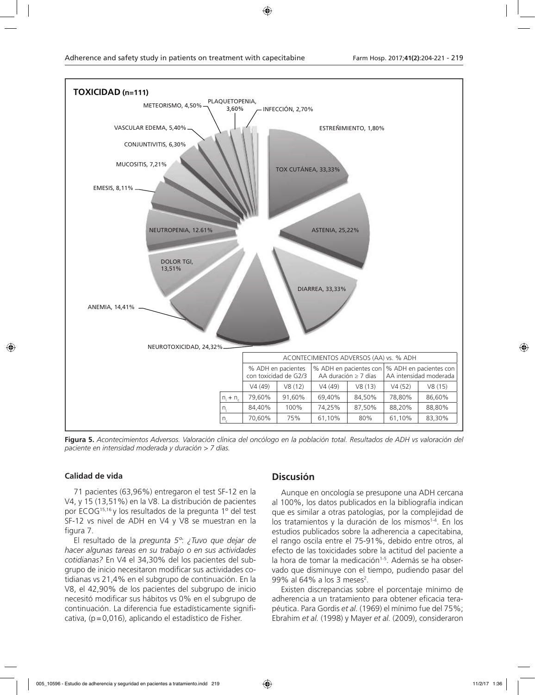

**Figura 5.** *Acontecimientos Adversos. Valoración clínica del oncólogo en la población total. Resultados de ADH vs valoración del paciente en intensidad moderada y duración > 7 días.*

### **Calidad de vida**

71 pacientes (63,96%) entregaron el test SF-12 en la V4, y 15 (13,51%) en la V8. La distribución de pacientes por ECOG15,16 y los resultados de la pregunta 1º del test SF-12 vs nivel de ADH en V4 y V8 se muestran en la figura 7.

El resultado de la *pregunta 5º*: *¿Tuvo que dejar de hacer algunas tareas en su trabajo o en sus actividades cotidianas?* En V4 el 34,30% del los pacientes del subgrupo de inicio necesitaron modificar sus actividades cotidianas vs 21,4% en el subgrupo de continuación. En la V8, el 42,90% de los pacientes del subgrupo de inicio necesitó modificar sus hábitos vs 0% en el subgrupo de continuación. La diferencia fue estadísticamente significativa, (p=0,016), aplicando el estadístico de Fisher.

# **Discusión**

Aunque en oncología se presupone una ADH cercana al 100%, los datos publicados en la bibliografía indican que es similar a otras patologías, por la complejidad de los tratamientos y la duración de los mismos<sup>1-4</sup>. En los estudios publicados sobre la adherencia a capecitabina, el rango oscila entre el 75-91%, debido entre otros, al efecto de las toxicidades sobre la actitud del paciente a la hora de tomar la medicación<sup>1-5</sup>. Además se ha observado que disminuye con el tiempo, pudiendo pasar del 99% al 64% a los 3 meses<sup>2</sup>.

Existen discrepancias sobre el porcentaje mínimo de adherencia a un tratamiento para obtener eficacia terapéutica. Para Gordis *et al.* (1969) el mínimo fue del 75%; Ebrahim *et al.* (1998) y Mayer *et al.* (2009), consideraron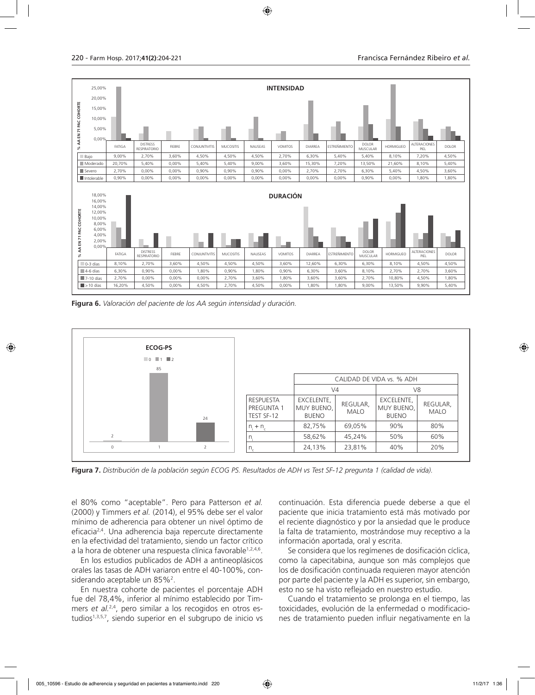

**Figura 6.** *Valoración del paciente de los AA según intensidad y duración.*



**Figura 7.** *Distribución de la población según ECOG PS. Resultados de ADH vs Test SF-12 pregunta 1 (calidad de vida).*

el 80% como "aceptable". Pero para Patterson *et al.* (2000) y Timmers *et al.* (2014), el 95% debe ser el valor mínimo de adherencia para obtener un nivel óptimo de eficacia2,4. Una adherencia baja repercute directamente en la efectividad del tratamiento, siendo un factor crítico a la hora de obtener una respuesta clínica favorable<sup>1,2,4,6</sup>.

En los estudios publicados de ADH a antineoplásicos orales las tasas de ADH variaron entre el 40-100%, considerando aceptable un 85%<sup>2</sup>.

En nuestra cohorte de pacientes el porcentaje ADH fue del 78,4%, inferior al mínimo establecido por Timmers et al.<sup>2,4</sup>, pero similar a los recogidos en otros estudios<sup>1,3,5,7</sup>, siendo superior en el subgrupo de inicio vs continuación. Esta diferencia puede deberse a que el paciente que inicia tratamiento está más motivado por el reciente diagnóstico y por la ansiedad que le produce la falta de tratamiento, mostrándose muy receptivo a la información aportada, oral y escrita.

Se considera que los regímenes de dosificación cíclica, como la capecitabina, aunque son más complejos que los de dosificación continuada requieren mayor atención por parte del paciente y la ADH es superior, sin embargo, esto no se ha visto reflejado en nuestro estudio.

Cuando el tratamiento se prolonga en el tiempo, las toxicidades, evolución de la enfermedad o modificaciones de tratamiento pueden influir negativamente en la